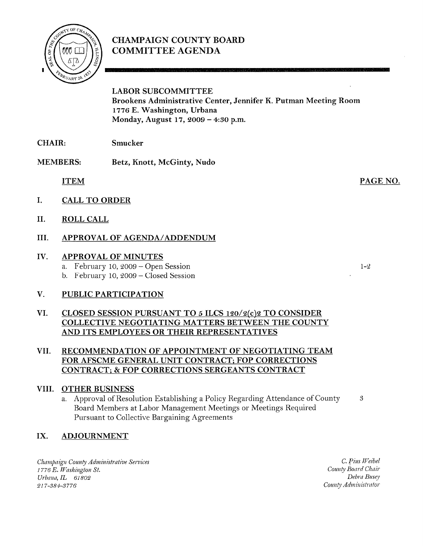

# CHAMPAIGN COUNTY BOARD COMMITTEE AGENDA

LABOR SUBCOMMITTEE Brookens Administrative Center, Jennifer K. Putman Meeting Room <sup>1776</sup> E. Washington, Urbana Monday, August 17, <sup>2009</sup> — 4:30 p.m.

- CHAIR: Smucker
- MEMBERS: Betz, Knott, McGinty, Nudo

ITEM

PAGE NO.

 $1 - 2$ 

- I. CALL TO ORDER
- II. ROLL CALL

## III. APPROVAL OF AGENDA/ADDENDUM

#### IV. APPROVAL OF MINUTES

- a. February 10, 2009 Open Session
- b. February 10, 2009 Closed Session

## V. PUBLIC PARTICIPATION

#### VI. CLOSED SESSION PURSUANT TO <sup>5</sup> ILCS 120/2(c)2 TO CONSIDER COLLECTIVE NEGOTIATING MATTERS BETWEEN THE COUNTY AND ITS EMPLOYEES OR THEIR REPRESENTATIVES

## VII. RECOMMENDATION OF APPOINTMENT OF NEGOTIATING TEAM FOR AFSCME GENERAL UNIT CONTRACT; FOP CORRECTIONS CONTRACT; & FOP CORRECTIONS SERGEANTS CONTRACT

## VIII. OTHER BUSINESS

a. Approval of Resolution Establishing <sup>a</sup> Policy Regarding Attendance of County Board Members at Labor Management Meetings or Meetings Required Pursuant to Collective Bargaining Agreements 3

## IX. ADJOURNMENT

Champaign County Administrative Services <sup>1</sup> <sup>776</sup> E. Washington St. Urbana, IL 61802 21 7-384-3776

C. Pius Weibel County Board Chair Debra Busey County Administrator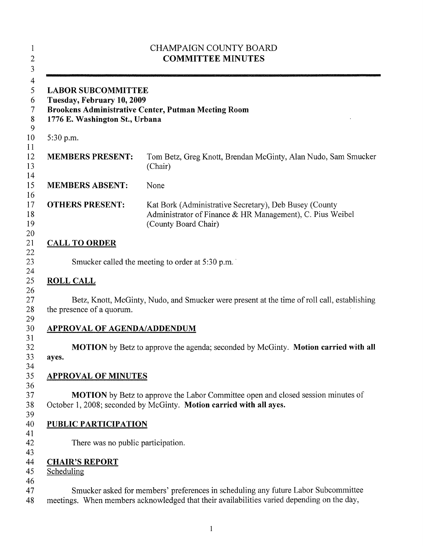| <b>CHAMPAIGN COUNTY BOARD</b><br><b>COMMITTEE MINUTES</b><br><b>LABOR SUBCOMMITTEE</b><br>Tuesday, February 10, 2009<br><b>Brookens Administrative Center, Putman Meeting Room</b><br>1776 E. Washington St., Urbana |                                                                                                                                                                                  |
|----------------------------------------------------------------------------------------------------------------------------------------------------------------------------------------------------------------------|----------------------------------------------------------------------------------------------------------------------------------------------------------------------------------|
|                                                                                                                                                                                                                      |                                                                                                                                                                                  |
| <b>MEMBERS PRESENT:</b>                                                                                                                                                                                              | Tom Betz, Greg Knott, Brendan McGinty, Alan Nudo, Sam Smucker<br>(Chair)                                                                                                         |
| <b>MEMBERS ABSENT:</b>                                                                                                                                                                                               | None                                                                                                                                                                             |
| <b>OTHERS PRESENT:</b>                                                                                                                                                                                               | Kat Bork (Administrative Secretary), Deb Busey (County<br>Administrator of Finance & HR Management), C. Pius Weibel<br>(County Board Chair)                                      |
| <b>CALL TO ORDER</b>                                                                                                                                                                                                 |                                                                                                                                                                                  |
|                                                                                                                                                                                                                      | Smucker called the meeting to order at 5:30 p.m.                                                                                                                                 |
| <b>ROLL CALL</b>                                                                                                                                                                                                     |                                                                                                                                                                                  |
| the presence of a quorum.                                                                                                                                                                                            | Betz, Knott, McGinty, Nudo, and Smucker were present at the time of roll call, establishing                                                                                      |
| <b>APPROVAL OF AGENDA/ADDENDUM</b>                                                                                                                                                                                   |                                                                                                                                                                                  |
| ayes.                                                                                                                                                                                                                | MOTION by Betz to approve the agenda; seconded by McGinty. Motion carried with all                                                                                               |
| <b>APPROVAL OF MINUTES</b>                                                                                                                                                                                           |                                                                                                                                                                                  |
|                                                                                                                                                                                                                      | MOTION by Betz to approve the Labor Committee open and closed session minutes of<br>October 1, 2008; seconded by McGinty. Motion carried with all ayes.                          |
| <b>PUBLIC PARTICIPATION</b>                                                                                                                                                                                          |                                                                                                                                                                                  |
| There was no public participation.                                                                                                                                                                                   |                                                                                                                                                                                  |
| <b>CHAIR'S REPORT</b><br>Scheduling                                                                                                                                                                                  |                                                                                                                                                                                  |
|                                                                                                                                                                                                                      | Smucker asked for members' preferences in scheduling any future Labor Subcommittee<br>meetings. When members acknowledged that their availabilities varied depending on the day, |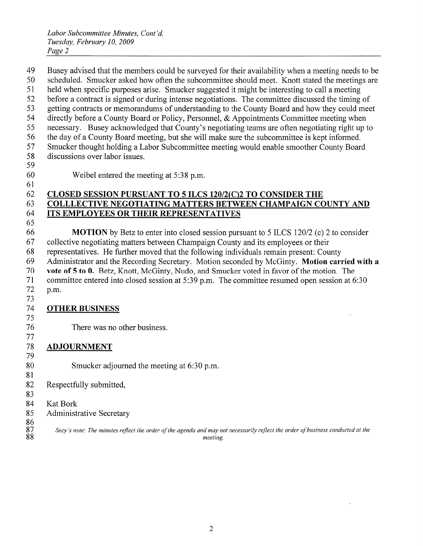Busey advised that the members could be surveyed for their availability when <sup>a</sup> meeting needs to be scheduled. Smucker asked how often the subcommittee should meet. Knott stated the meetings are held when specific purposes arise. Smucker suggested it might be interesting to call <sup>a</sup> meeting before <sup>a</sup> contract is signed or during intense negotiations. The committee discussed the timing of getting contracts or memorandums of understanding to the County Board and how they could meet directly before <sup>a</sup> County Board or Policy, Personnel, & Appointments Committee meeting when necessary. Busey acknowledged that County's negotiating teams are often negotiating right up to the day of <sup>a</sup> County Board meeting, but she will make sure the subcommittee is kept informed. Smucker thought holding <sup>a</sup> Labor Subcommittee meeting would enable smoother County Board discussions over labor issues.

Weibel entered the meeting at 5:38 p.m.

## CLOSED SESSION PURSUANT TO 5 ILCS 120/2(C)2 TO CONSIDER THE COLLLECTIVE NEGOTIATING MATTERS BETWEEN CHAMPAIGN COUNTY AND ITS EMPLOYEES OR THEIR REPRESENTATIVES

 MOTION by Betz to enter into closed session pursuant to 5 ILCS 120/2 (c) 2 to consider collective negotiating matters between Champaign County and its employees or their representatives. He further moved that the following individuals remain present: County Administrator and the Recording Secretary. Motion seconded by McGinty. Motion carried with <sup>a</sup> vote of 5 to 0. Betz, Knott, McGinty, Nudo, and Smucker voted in favor of the motion. The committee entered into closed session at 5:39 p.m. The committee resumed open session at 6:30 p.m.

## OTHER BUSINESS

There was no other business.

#### ADJOURNMENT

- Smucker adjourned the meeting at 6:30 p.m.
- Respectfully submitted,
- 84 Kat Bork
- Administrative Secretary
- $\frac{86}{87}$

Secy's note: The minutes reflect the order of the agenda and may not necessarily reflect the order of business conducted at the

88 meeting.